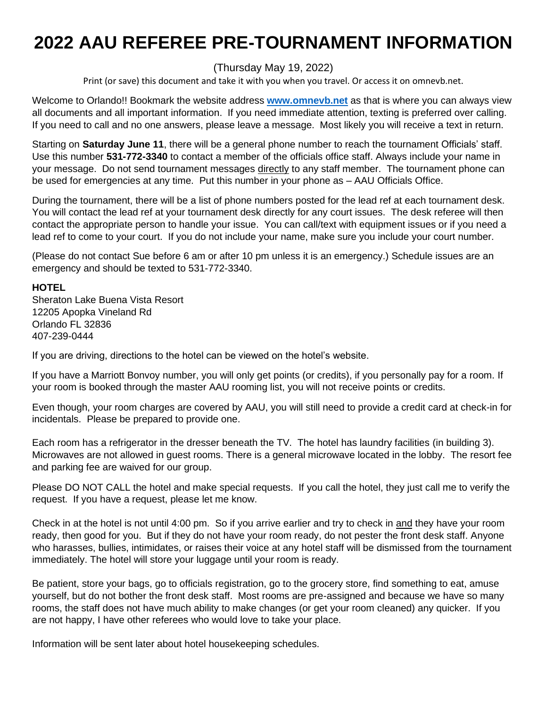# **2022 AAU REFEREE PRE-TOURNAMENT INFORMATION**

# (Thursday May 19, 2022)

Print (or save) this document and take it with you when you travel. Or access it on omnevb.net.

Welcome to Orlando!! Bookmark the website address **[www.omnevb.net](http://www.omnevb.net/)** as that is where you can always view all documents and all important information. If you need immediate attention, texting is preferred over calling. If you need to call and no one answers, please leave a message. Most likely you will receive a text in return.

Starting on **Saturday June 11**, there will be a general phone number to reach the tournament Officials' staff. Use this number **531-772-3340** to contact a member of the officials office staff. Always include your name in your message. Do not send tournament messages directly to any staff member. The tournament phone can be used for emergencies at any time. Put this number in your phone as – AAU Officials Office.

During the tournament, there will be a list of phone numbers posted for the lead ref at each tournament desk. You will contact the lead ref at your tournament desk directly for any court issues. The desk referee will then contact the appropriate person to handle your issue. You can call/text with equipment issues or if you need a lead ref to come to your court. If you do not include your name, make sure you include your court number.

(Please do not contact Sue before 6 am or after 10 pm unless it is an emergency.) Schedule issues are an emergency and should be texted to 531-772-3340.

## **HOTEL**

Sheraton Lake Buena Vista Resort 12205 Apopka Vineland Rd Orlando FL 32836 407-239-0444

If you are driving, directions to the hotel can be viewed on the hotel's website.

If you have a Marriott Bonvoy number, you will only get points (or credits), if you personally pay for a room. If your room is booked through the master AAU rooming list, you will not receive points or credits.

Even though, your room charges are covered by AAU, you will still need to provide a credit card at check-in for incidentals. Please be prepared to provide one.

Each room has a refrigerator in the dresser beneath the TV. The hotel has laundry facilities (in building 3). Microwaves are not allowed in guest rooms. There is a general microwave located in the lobby. The resort fee and parking fee are waived for our group.

Please DO NOT CALL the hotel and make special requests. If you call the hotel, they just call me to verify the request. If you have a request, please let me know.

Check in at the hotel is not until 4:00 pm. So if you arrive earlier and try to check in and they have your room ready, then good for you. But if they do not have your room ready, do not pester the front desk staff. Anyone who harasses, bullies, intimidates, or raises their voice at any hotel staff will be dismissed from the tournament immediately. The hotel will store your luggage until your room is ready.

Be patient, store your bags, go to officials registration, go to the grocery store, find something to eat, amuse yourself, but do not bother the front desk staff. Most rooms are pre-assigned and because we have so many rooms, the staff does not have much ability to make changes (or get your room cleaned) any quicker. If you are not happy, I have other referees who would love to take your place.

Information will be sent later about hotel housekeeping schedules.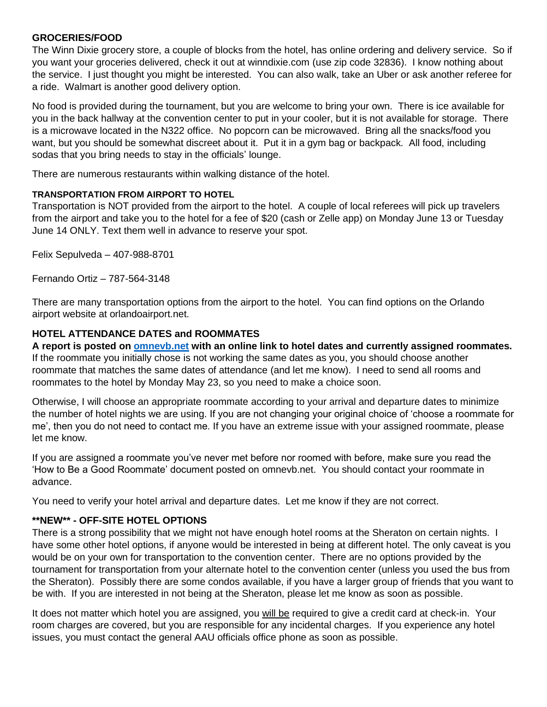#### **GROCERIES/FOOD**

The Winn Dixie grocery store, a couple of blocks from the hotel, has online ordering and delivery service. So if you want your groceries delivered, check it out at winndixie.com (use zip code 32836). I know nothing about the service. I just thought you might be interested. You can also walk, take an Uber or ask another referee for a ride. Walmart is another good delivery option.

No food is provided during the tournament, but you are welcome to bring your own. There is ice available for you in the back hallway at the convention center to put in your cooler, but it is not available for storage. There is a microwave located in the N322 office. No popcorn can be microwaved. Bring all the snacks/food you want, but you should be somewhat discreet about it. Put it in a gym bag or backpack. All food, including sodas that you bring needs to stay in the officials' lounge.

There are numerous restaurants within walking distance of the hotel.

## **TRANSPORTATION FROM AIRPORT TO HOTEL**

Transportation is NOT provided from the airport to the hotel. A couple of local referees will pick up travelers from the airport and take you to the hotel for a fee of \$20 (cash or Zelle app) on Monday June 13 or Tuesday June 14 ONLY. Text them well in advance to reserve your spot.

Felix Sepulveda – 407-988-8701

Fernando Ortiz – 787-564-3148

There are many transportation options from the airport to the hotel. You can find options on the Orlando airport website at orlandoairport.net.

## **HOTEL ATTENDANCE DATES and ROOMMATES**

**A report is posted on<omnevb.net> with an online link to hotel dates and currently assigned roommates.**  If the roommate you initially chose is not working the same dates as you, you should choose another roommate that matches the same dates of attendance (and let me know). I need to send all rooms and roommates to the hotel by Monday May 23, so you need to make a choice soon.

Otherwise, I will choose an appropriate roommate according to your arrival and departure dates to minimize the number of hotel nights we are using. If you are not changing your original choice of 'choose a roommate for me', then you do not need to contact me. If you have an extreme issue with your assigned roommate, please let me know.

If you are assigned a roommate you've never met before nor roomed with before, make sure you read the 'How to Be a Good Roommate' document posted on omnevb.net. You should contact your roommate in advance.

You need to verify your hotel arrival and departure dates. Let me know if they are not correct.

## **\*\*NEW\*\* - OFF-SITE HOTEL OPTIONS**

There is a strong possibility that we might not have enough hotel rooms at the Sheraton on certain nights. I have some other hotel options, if anyone would be interested in being at different hotel. The only caveat is you would be on your own for transportation to the convention center. There are no options provided by the tournament for transportation from your alternate hotel to the convention center (unless you used the bus from the Sheraton). Possibly there are some condos available, if you have a larger group of friends that you want to be with. If you are interested in not being at the Sheraton, please let me know as soon as possible.

It does not matter which hotel you are assigned, you will be required to give a credit card at check-in. Your room charges are covered, but you are responsible for any incidental charges. If you experience any hotel issues, you must contact the general AAU officials office phone as soon as possible.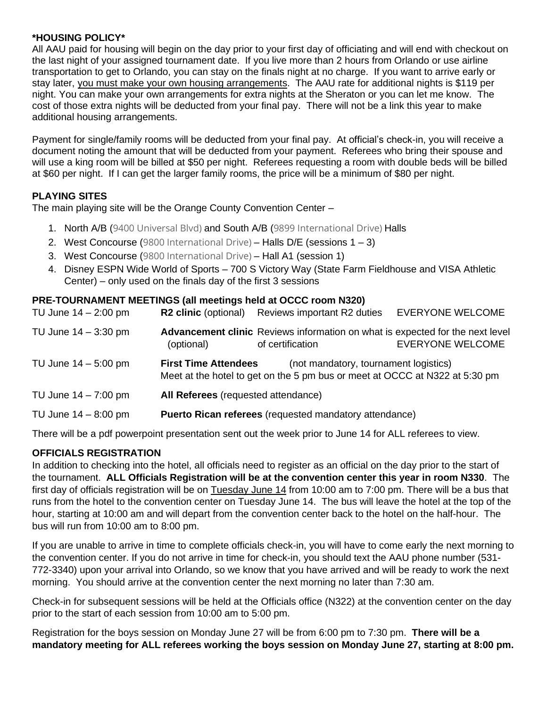## **\*HOUSING POLICY\***

All AAU paid for housing will begin on the day prior to your first day of officiating and will end with checkout on the last night of your assigned tournament date. If you live more than 2 hours from Orlando or use airline transportation to get to Orlando, you can stay on the finals night at no charge. If you want to arrive early or stay later, you must make your own housing arrangements. The AAU rate for additional nights is \$119 per night. You can make your own arrangements for extra nights at the Sheraton or you can let me know. The cost of those extra nights will be deducted from your final pay. There will not be a link this year to make additional housing arrangements.

Payment for single/family rooms will be deducted from your final pay. At official's check-in, you will receive a document noting the amount that will be deducted from your payment. Referees who bring their spouse and will use a king room will be billed at \$50 per night. Referees requesting a room with double beds will be billed at \$60 per night. If I can get the larger family rooms, the price will be a minimum of \$80 per night.

# **PLAYING SITES**

The main playing site will be the Orange County Convention Center –

- 1. North A/B (9400 Universal Blvd) and South A/B (9899 International Drive) Halls
- 2. West Concourse (9800 International Drive) Halls D/E (sessions 1 3)
- 3. West Concourse (9800 International Drive) Hall A1 (session 1)
- 4. Disney ESPN Wide World of Sports 700 S Victory Way (State Farm Fieldhouse and VISA Athletic Center) – only used on the finals day of the first 3 sessions

## **PRE-TOURNAMENT MEETINGS (all meetings held at OCCC room N320)**

| TU June 14 – 2:00 pm | <b>R2 clinic (optional)</b>                                                                                                                         | Reviews important R2 duties                                                                       | <b>EVERYONE WELCOME</b> |
|----------------------|-----------------------------------------------------------------------------------------------------------------------------------------------------|---------------------------------------------------------------------------------------------------|-------------------------|
| TU June 14 – 3:30 pm | (optional)                                                                                                                                          | Advancement clinic Reviews information on what is expected for the next level<br>of certification | <b>EVERYONE WELCOME</b> |
| TU June 14 - 5:00 pm | <b>First Time Attendees</b><br>(not mandatory, tournament logistics)<br>Meet at the hotel to get on the 5 pm bus or meet at OCCC at N322 at 5:30 pm |                                                                                                   |                         |
| TU June 14 – 7:00 pm | All Referees (requested attendance)                                                                                                                 |                                                                                                   |                         |
| TU June 14 - 8:00 pm | Puerto Rican referees (requested mandatory attendance)                                                                                              |                                                                                                   |                         |
|                      |                                                                                                                                                     |                                                                                                   |                         |

There will be a pdf powerpoint presentation sent out the week prior to June 14 for ALL referees to view.

# **OFFICIALS REGISTRATION**

In addition to checking into the hotel, all officials need to register as an official on the day prior to the start of the tournament. **ALL Officials Registration will be at the convention center this year in room N330**. The first day of officials registration will be on Tuesday June 14 from 10:00 am to 7:00 pm. There will be a bus that runs from the hotel to the convention center on Tuesday June 14. The bus will leave the hotel at the top of the hour, starting at 10:00 am and will depart from the convention center back to the hotel on the half-hour. The bus will run from 10:00 am to 8:00 pm.

If you are unable to arrive in time to complete officials check-in, you will have to come early the next morning to the convention center. If you do not arrive in time for check-in, you should text the AAU phone number (531- 772-3340) upon your arrival into Orlando, so we know that you have arrived and will be ready to work the next morning. You should arrive at the convention center the next morning no later than 7:30 am.

Check-in for subsequent sessions will be held at the Officials office (N322) at the convention center on the day prior to the start of each session from 10:00 am to 5:00 pm.

Registration for the boys session on Monday June 27 will be from 6:00 pm to 7:30 pm. **There will be a mandatory meeting for ALL referees working the boys session on Monday June 27, starting at 8:00 pm.**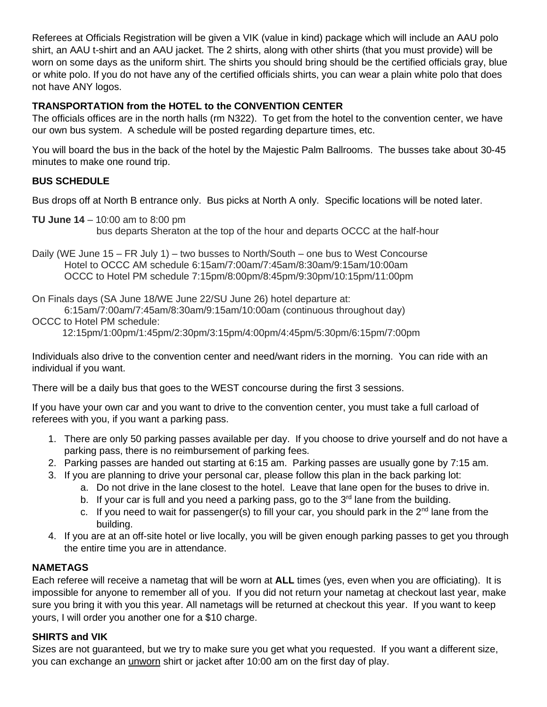Referees at Officials Registration will be given a VIK (value in kind) package which will include an AAU polo shirt, an AAU t-shirt and an AAU jacket. The 2 shirts, along with other shirts (that you must provide) will be worn on some days as the uniform shirt. The shirts you should bring should be the certified officials gray, blue or white polo. If you do not have any of the certified officials shirts, you can wear a plain white polo that does not have ANY logos.

# **TRANSPORTATION from the HOTEL to the CONVENTION CENTER**

The officials offices are in the north halls (rm N322). To get from the hotel to the convention center, we have our own bus system. A schedule will be posted regarding departure times, etc.

You will board the bus in the back of the hotel by the Majestic Palm Ballrooms. The busses take about 30-45 minutes to make one round trip.

# **BUS SCHEDULE**

Bus drops off at North B entrance only. Bus picks at North A only. Specific locations will be noted later.

**TU June 14** – 10:00 am to 8:00 pm bus departs Sheraton at the top of the hour and departs OCCC at the half-hour

Daily (WE June 15 – FR July 1) – two busses to North/South – one bus to West Concourse Hotel to OCCC AM schedule 6:15am/7:00am/7:45am/8:30am/9:15am/10:00am OCCC to Hotel PM schedule 7:15pm/8:00pm/8:45pm/9:30pm/10:15pm/11:00pm

On Finals days (SA June 18/WE June 22/SU June 26) hotel departure at:

6:15am/7:00am/7:45am/8:30am/9:15am/10:00am (continuous throughout day)

OCCC to Hotel PM schedule:

12:15pm/1:00pm/1:45pm/2:30pm/3:15pm/4:00pm/4:45pm/5:30pm/6:15pm/7:00pm

Individuals also drive to the convention center and need/want riders in the morning. You can ride with an individual if you want.

There will be a daily bus that goes to the WEST concourse during the first 3 sessions.

If you have your own car and you want to drive to the convention center, you must take a full carload of referees with you, if you want a parking pass.

- 1. There are only 50 parking passes available per day. If you choose to drive yourself and do not have a parking pass, there is no reimbursement of parking fees.
- 2. Parking passes are handed out starting at 6:15 am. Parking passes are usually gone by 7:15 am.
- 3. If you are planning to drive your personal car, please follow this plan in the back parking lot:
	- a. Do not drive in the lane closest to the hotel. Leave that lane open for the buses to drive in.
	- b. If your car is full and you need a parking pass, go to the  $3<sup>rd</sup>$  lane from the building.
	- c. If you need to wait for passenger(s) to fill your car, you should park in the 2<sup>nd</sup> lane from the building.
- 4. If you are at an off-site hotel or live locally, you will be given enough parking passes to get you through the entire time you are in attendance.

# **NAMETAGS**

Each referee will receive a nametag that will be worn at **ALL** times (yes, even when you are officiating). It is impossible for anyone to remember all of you. If you did not return your nametag at checkout last year, make sure you bring it with you this year. All nametags will be returned at checkout this year. If you want to keep yours, I will order you another one for a \$10 charge.

# **SHIRTS and VIK**

Sizes are not guaranteed, but we try to make sure you get what you requested. If you want a different size, you can exchange an unworn shirt or jacket after 10:00 am on the first day of play.